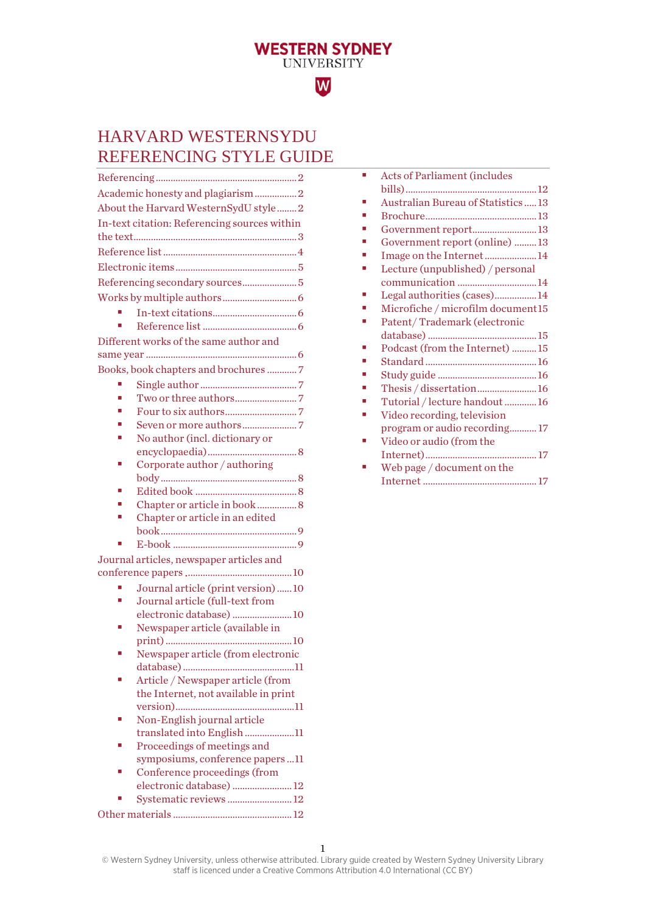# HARVARD WESTERNSYDU REFERENCING STYLE GUIDE

**WESTERN SYDNEY**<br>UNIVERSITY

W

|                                              | Academic honesty and plagiarism2                                 |  |
|----------------------------------------------|------------------------------------------------------------------|--|
| About the Harvard WesternSydU style2         |                                                                  |  |
| In-text citation: Referencing sources within |                                                                  |  |
|                                              |                                                                  |  |
|                                              |                                                                  |  |
|                                              |                                                                  |  |
|                                              | Referencing secondary sources 5                                  |  |
|                                              |                                                                  |  |
|                                              |                                                                  |  |
|                                              |                                                                  |  |
|                                              | Different works of the same author and                           |  |
|                                              |                                                                  |  |
|                                              | Books, book chapters and brochures  7                            |  |
| I.                                           |                                                                  |  |
|                                              |                                                                  |  |
|                                              |                                                                  |  |
|                                              |                                                                  |  |
|                                              | No author (incl. dictionary or                                   |  |
|                                              |                                                                  |  |
|                                              | Corporate author / authoring                                     |  |
|                                              |                                                                  |  |
|                                              |                                                                  |  |
|                                              | Chapter or article in book  8                                    |  |
|                                              | Chapter or article in an edited                                  |  |
|                                              |                                                                  |  |
|                                              |                                                                  |  |
|                                              | Journal articles, newspaper articles and                         |  |
| п                                            | Journal article (print version) 10                               |  |
| ×,                                           | Journal article (full-text from                                  |  |
|                                              | electronic database) 10                                          |  |
|                                              | Newspaper article (available in                                  |  |
|                                              |                                                                  |  |
|                                              | Newspaper article (from electronic                               |  |
|                                              |                                                                  |  |
|                                              | Article / Newspaper article (from                                |  |
|                                              | the Internet, not available in print                             |  |
|                                              |                                                                  |  |
|                                              | Non-English journal article                                      |  |
|                                              | translated into English11                                        |  |
|                                              | Proceedings of meetings and                                      |  |
|                                              | symposiums, conference papers 11<br>Conference proceedings (from |  |
|                                              | electronic database)  12                                         |  |
|                                              | Systematic reviews  12                                           |  |
|                                              |                                                                  |  |
|                                              |                                                                  |  |

| Acts of Parliament (includes        |
|-------------------------------------|
|                                     |
| Australian Bureau of Statistics  13 |
|                                     |
| Government report13                 |
| Government report (online) 13       |
| Image on the Internet14             |
| Lecture (unpublished) / personal    |
| communication 14                    |
| Legal authorities (cases)14         |
| Microfiche / microfilm document15   |
| Patent/Trademark (electronic        |
|                                     |
| Podcast (from the Internet) 15      |
|                                     |
|                                     |
| Thesis / dissertation16             |
| Tutorial / lecture handout 16       |
| Video recording, television         |
| program or audio recording 17       |
| Video or audio (from the            |
|                                     |
| Web page / document on the          |
|                                     |
|                                     |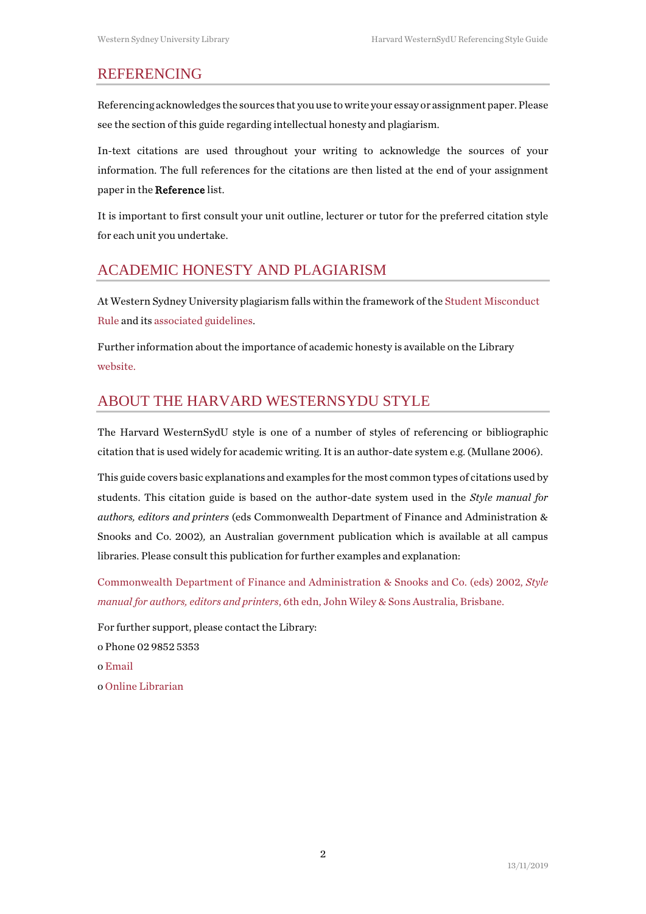#### <span id="page-1-0"></span>REFERENCING

Referencing acknowledges the sources that you use to write your essay or assignment paper. Please see the section of this guide regarding intellectual honesty and plagiarism.

In-text citations are used throughout your writing to acknowledge the sources of your information. The full references for the citations are then listed at the end of your assignment paper in the Reference list.

It is important to first consult your unit outline, lecturer or tutor for the preferred citation style for each unit you undertake.

# <span id="page-1-1"></span>ACADEMIC HONESTY AND PLAGIARISM

At Western Sydney University plagiarism falls within the framework of th[e Student Misconduct](https://policies.westernsydney.edu.au/document/view.current.php?id=304)  [Rule](https://policies.westernsydney.edu.au/document/view.current.php?id=304) and it[s associated guidelines.](https://policies.westernsydney.edu.au/document/associated-information.php?id=304)

Further information about the importance of academic honesty is available on the Library [website.](http://library.westernsydney.edu.au/main/guides/turnitin/academic-honesty)

# <span id="page-1-2"></span>ABOUT THE HARVARD WESTERNSYDU STYLE

The Harvard WesternSydU style is one of a number of styles of referencing or bibliographic citation that is used widely for academic writing. It is an author-date system e.g. (Mullane 2006).

This guide covers basic explanations and examples for the most common types of citations used by students. This citation guide is based on the author-date system used in the *Style manual for authors, editors and printers* (eds Commonwealth Department of Finance and Administration & Snooks and Co. 2002)*,* an Australian government publication which is available at all campus libraries. Please consult this publication for further examples and explanation:

[Commonwealth Department of Finance and Administration & Snooks and Co. \(eds\)](http://west-sydney-primo.hosted.exlibrisgroup.com/UWS-ALMA:default_scope:UWS-ALMA2161743600001571) 2002, *Style manual for authors, editors and printers*[, 6th edn, John Wiley & Sons Australia, Brisbane.](http://west-sydney-primo.hosted.exlibrisgroup.com/UWS-ALMA:default_scope:UWS-ALMA2161743600001571)

For further support, please contact the Library: o Phone 02 9852 5353 [o Email](http://answers.library.westernsydney.edu.au/form.php) [o Online Librarian](http://library.westernsydney.edu.au/main/help/contact-us)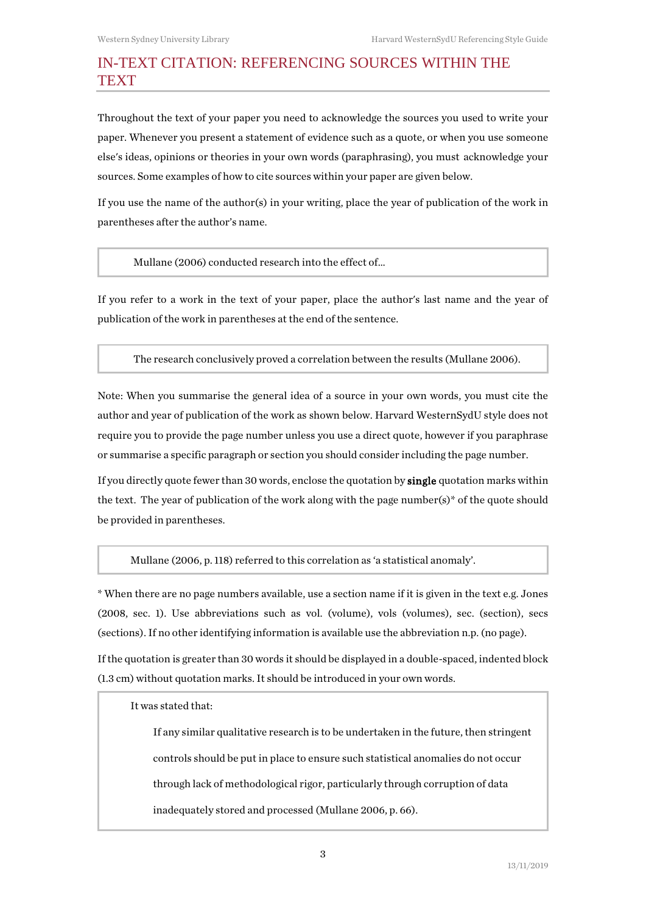# <span id="page-2-0"></span>IN-TEXT CITATION: REFERENCING SOURCES WITHIN THE **TEXT**

Throughout the text of your paper you need to acknowledge the sources you used to write your paper. Whenever you present a statement of evidence such as a quote, or when you use someone else's ideas, opinions or theories in your own words (paraphrasing), you must acknowledge your sources. Some examples of how to cite sources within your paper are given below.

If you use the name of the author(s) in your writing, place the year of publication of the work in parentheses after the author's name.

Mullane (2006) conducted research into the effect of…

If you refer to a work in the text of your paper, place the author's last name and the year of publication of the work in parentheses at the end of the sentence.

The research conclusively proved a correlation between the results (Mullane 2006).

Note: When you summarise the general idea of a source in your own words, you must cite the author and year of publication of the work as shown below. Harvard WesternSydU style does not require you to provide the page number unless you use a direct quote, however if you paraphrase or summarise a specific paragraph or section you should consider including the page number.

If you directly quote fewer than 30 words, enclose the quotation by single quotation marks within the text. The year of publication of the work along with the page number(s)\* of the quote should be provided in parentheses.

Mullane (2006, p. 118) referred to this correlation as 'a statistical anomaly'.

\* When there are no page numbers available, use a section name if it is given in the text e.g. Jones (2008, sec. 1). Use abbreviations such as vol. (volume), vols (volumes), sec. (section), secs (sections). If no other identifying information is available use the abbreviation n.p. (no page).

If the quotation is greater than 30 words it should be displayed in a double-spaced, indented block (1.3 cm) without quotation marks. It should be introduced in your own words.

It was stated that:

If any similar qualitative research is to be undertaken in the future, then stringent controls should be put in place to ensure such statistical anomalies do not occur through lack of methodological rigor, particularly through corruption of data inadequately stored and processed (Mullane 2006, p. 66).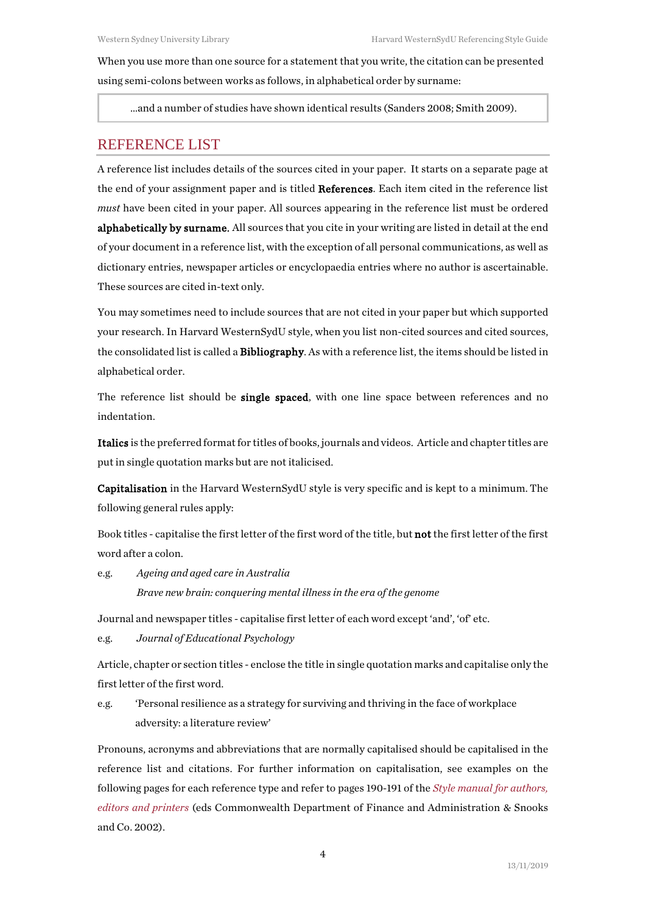When you use more than one source for a statement that you write, the citation can be presented using semi-colons between works as follows, in alphabetical order by surname:

…and a number of studies have shown identical results (Sanders 2008; Smith 2009).

### <span id="page-3-0"></span>REFERENCE LIST

A reference list includes details of the sources cited in your paper. It starts on a separate page at the end of your assignment paper and is titled References. Each item cited in the reference list *must* have been cited in your paper. All sources appearing in the reference list must be ordered alphabetically by surname. All sources that you cite in your writing are listed in detail at the end of your document in a reference list, with the exception of all personal communications, as well as dictionary entries, newspaper articles or encyclopaedia entries where no author is ascertainable. These sources are cited in-text only.

You may sometimes need to include sources that are not cited in your paper but which supported your research. In Harvard WesternSydU style, when you list non-cited sources and cited sources, the consolidated list is called a Bibliography. As with a reference list, the items should be listed in alphabetical order.

The reference list should be **single spaced**, with one line space between references and no indentation.

Italics is the preferred format for titles of books, journals and videos. Article and chapter titles are put in single quotation marks but are not italicised.

Capitalisation in the Harvard WesternSydU style is very specific and is kept to a minimum. The following general rules apply:

Book titles - capitalise the first letter of the first word of the title, but not the first letter of the first word after a colon.

e.g. *Ageing and aged care in Australia Brave new brain: conquering mental illness in the era of the genome*

Journal and newspaper titles - capitalise first letter of each word except 'and', 'of' etc.

e.g. *Journal of Educational Psychology*

Article, chapter or section titles - enclose the title in single quotation marks and capitalise only the first letter of the first word.

e.g. 'Personal resilience as a strategy for surviving and thriving in the face of workplace adversity: a literature review'

Pronouns, acronyms and abbreviations that are normally capitalised should be capitalised in the reference list and citations. For further information on capitalisation, see examples on the following pages for each reference type and refer to pages 190-191 of the *[Style manual for authors,](http://west-sydney-primo.hosted.exlibrisgroup.com/UWS-ALMA:default_scope:UWS-ALMA2161743600001571)  [editors and printers](http://west-sydney-primo.hosted.exlibrisgroup.com/UWS-ALMA:default_scope:UWS-ALMA2161743600001571)* (eds Commonwealth Department of Finance and Administration & Snooks and Co. 2002).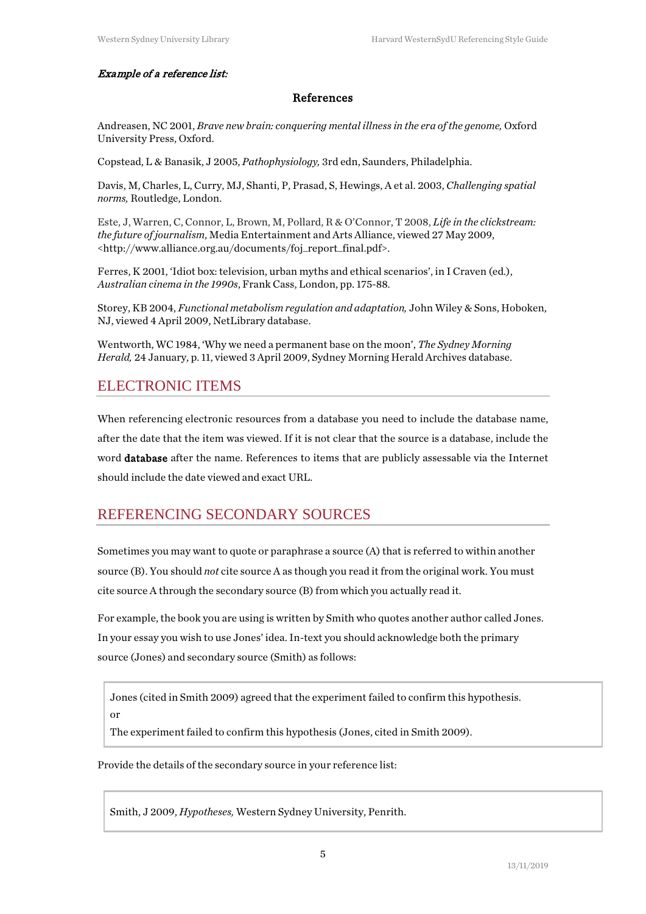#### Example of a reference list:

#### References

Andreasen, NC 2001, *Brave new brain: conquering mental illness in the era of the genome,* Oxford University Press, Oxford.

Copstead, L & Banasik, J 2005, *Pathophysiology,* 3rd edn, Saunders, Philadelphia.

Davis, M, Charles, L, Curry, MJ, Shanti, P, Prasad, S, Hewings, A et al. 2003, *Challenging spatial norms,* Routledge, London.

Este, J, Warren, C, Connor, L, Brown, M, Pollard, R & O'Connor, T 2008, *Life in the clickstream: the future of journalism*, Media Entertainment and Arts Alliance, viewed 27 May 2009, <http://www.alliance.org.au/documents/foj\_report\_final.pdf>.

Ferres, K 2001, 'Idiot box: television, urban myths and ethical scenarios', in I Craven (ed.), *Australian cinema in the 1990s*, Frank Cass, London, pp. 175-88.

Storey, KB 2004, *Functional metabolism regulation and adaptation,* John Wiley & Sons, Hoboken, NJ, viewed 4 April 2009, NetLibrary database.

Wentworth, WC 1984, 'Why we need a permanent base on the moon', *The Sydney Morning Herald,* 24 January, p. 11, viewed 3 April 2009, Sydney Morning Herald Archives database.

### <span id="page-4-0"></span>ELECTRONIC ITEMS

When referencing electronic resources from a database you need to include the database name, after the date that the item was viewed. If it is not clear that the source is a database, include the word database after the name. References to items that are publicly assessable via the Internet should include the date viewed and exact URL.

# <span id="page-4-1"></span>REFERENCING SECONDARY SOURCES

Sometimes you may want to quote or paraphrase a source (A) that is referred to within another source (B). You should *not* cite source A as though you read it from the original work. You must cite source A through the secondary source (B) from which you actually read it.

For example, the book you are using is written by Smith who quotes another author called Jones. In your essay you wish to use Jones' idea. In-text you should acknowledge both the primary source (Jones) and secondary source (Smith) as follows:

Jones (cited in Smith 2009) agreed that the experiment failed to confirm this hypothesis. or

The experiment failed to confirm this hypothesis (Jones, cited in Smith 2009).

Provide the details of the secondary source in your reference list:

Smith, J 2009, *Hypotheses,* Western Sydney University, Penrith.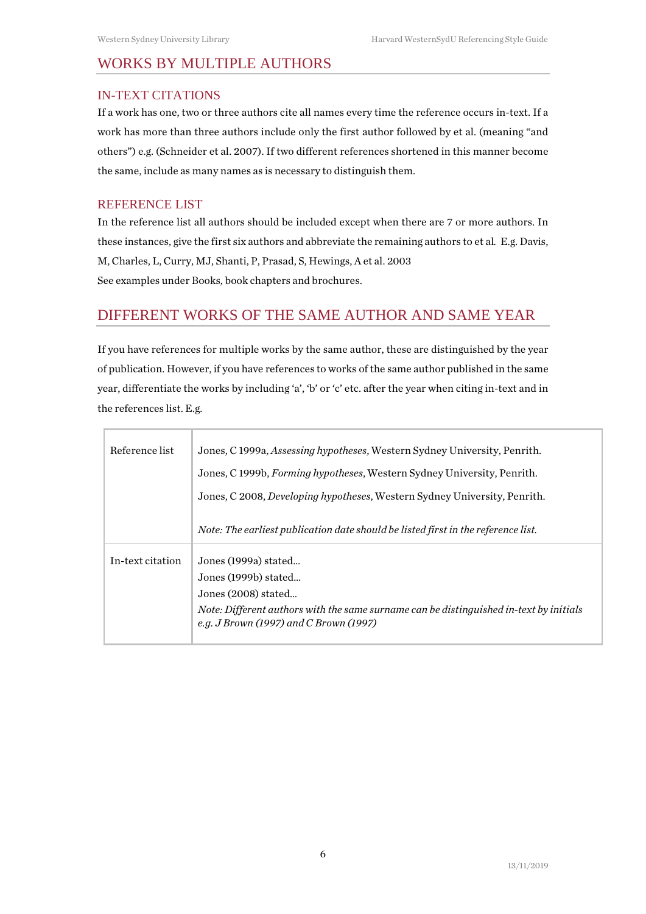# <span id="page-5-0"></span>WORKS BY MULTIPLE AUTHORS

#### <span id="page-5-1"></span>IN-TEXT CITATIONS

If a work has one, two or three authors cite all names every time the reference occurs in-text. If a work has more than three authors include only the first author followed by et al. (meaning "and others") e.g. (Schneider et al. 2007). If two different references shortened in this manner become the same, include as many names as is necessary to distinguish them.

#### <span id="page-5-2"></span>REFERENCE LIST

In the reference list all authors should be included except when there are 7 or more authors. In these instances, give the first six authors and abbreviate the remaining authors to et al*.* E.g. Davis, M, Charles, L, Curry, MJ, Shanti, P, Prasad, S, Hewings, A et al. 2003 See examples under Books, book chapters and brochures.

# <span id="page-5-3"></span>DIFFERENT WORKS OF THE SAME AUTHOR AND SAME YEAR

If you have references for multiple works by the same author, these are distinguished by the year of publication. However, if you have references to works of the same author published in the same year, differentiate the works by including 'a', 'b' or 'c' etc. after the year when citing in-text and in the references list. E.g.

| Reference list   | Jones, C 1999a, <i>Assessing hypotheses</i> , Western Sydney University, Penrith.                                                |
|------------------|----------------------------------------------------------------------------------------------------------------------------------|
|                  | Jones, C 1999b, <i>Forming hypotheses</i> , Western Sydney University, Penrith.                                                  |
|                  | Jones, C 2008, Developing hypotheses, Western Sydney University, Penrith.                                                        |
|                  | Note: The earliest publication date should be listed first in the reference list.                                                |
| In-text citation | Jones (1999a) stated                                                                                                             |
|                  | Jones (1999b) stated                                                                                                             |
|                  | Jones (2008) stated                                                                                                              |
|                  | Note: Different authors with the same surname can be distinguished in-text by initials<br>e.g. J Brown (1997) and C Brown (1997) |
|                  |                                                                                                                                  |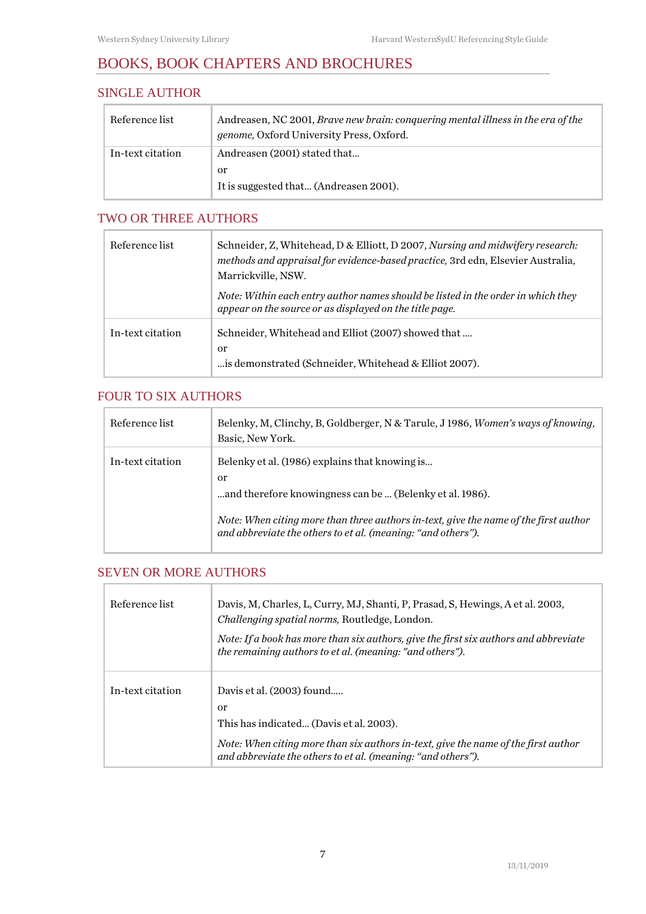# <span id="page-6-0"></span>BOOKS, BOOK CHAPTERS AND BROCHURES

## <span id="page-6-1"></span>SINGLE AUTHOR

| Reference list   | Andreasen, NC 2001, <i>Brave new brain: conquering mental illness in the era of the</i><br><i>genome</i> , Oxford University Press, Oxford. |
|------------------|---------------------------------------------------------------------------------------------------------------------------------------------|
| In-text citation | Andreasen (2001) stated that                                                                                                                |
|                  | or                                                                                                                                          |
|                  | It is suggested that (Andreasen 2001).                                                                                                      |

### <span id="page-6-2"></span>TWO OR THREE AUTHORS

| Reference list   | Schneider, Z, Whitehead, D & Elliott, D 2007, Nursing and midwifery research:<br>methods and appraisal for evidence-based practice, 3rd edn, Elsevier Australia,<br>Marrickville, NSW. |
|------------------|----------------------------------------------------------------------------------------------------------------------------------------------------------------------------------------|
|                  | Note: Within each entry author names should be listed in the order in which they<br>appear on the source or as displayed on the title page.                                            |
| In-text citation | Schneider, Whitehead and Elliot (2007) showed that<br>or<br>is demonstrated (Schneider, Whitehead & Elliot 2007).                                                                      |

# <span id="page-6-3"></span>FOUR TO SIX AUTHORS

| Reference list   | Belenky, M, Clinchy, B, Goldberger, N & Tarule, J 1986, <i>Women's ways of knowing</i> ,<br>Basic, New York.                                                                                                                                                             |
|------------------|--------------------------------------------------------------------------------------------------------------------------------------------------------------------------------------------------------------------------------------------------------------------------|
| In-text citation | Belenky et al. (1986) explains that knowing is<br>or<br>and therefore knowingness can be  (Belenky et al. 1986).<br>Note: When citing more than three authors in-text, give the name of the first author<br>and abbreviate the others to et al. (meaning: "and others"). |

# <span id="page-6-4"></span>SEVEN OR MORE AUTHORS

Г

| Reference list   | Davis, M, Charles, L, Curry, MJ, Shanti, P, Prasad, S, Hewings, A et al. 2003,<br><i>Challenging spatial norms, Routledge, London.</i><br>Note: If a book has more than six authors, give the first six authors and abbreviate<br>the remaining authors to et al. (meaning: "and others"). |
|------------------|--------------------------------------------------------------------------------------------------------------------------------------------------------------------------------------------------------------------------------------------------------------------------------------------|
| In-text citation | Davis et al. (2003) found<br>or<br>This has indicated (Davis et al. 2003).<br>Note: When citing more than six authors in-text, give the name of the first author<br>and abbreviate the others to et al. (meaning: "and others").                                                           |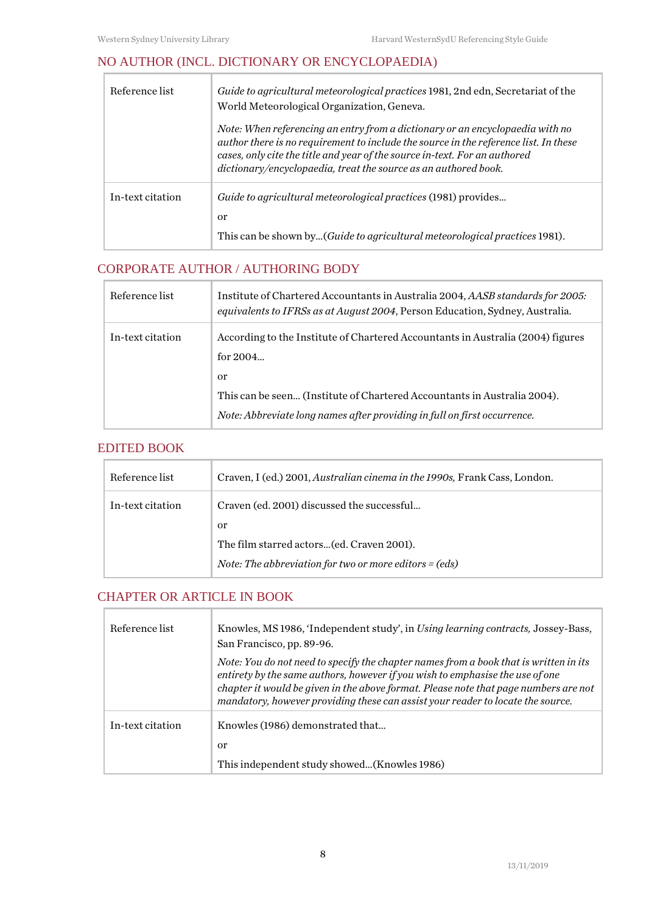# <span id="page-7-0"></span>NO AUTHOR (INCL. DICTIONARY OR ENCYCLOPAEDIA)

| Reference list   | Guide to agricultural meteorological practices 1981, 2nd edn, Secretariat of the<br>World Meteorological Organization, Geneva.                                                                                                                                                                                         |
|------------------|------------------------------------------------------------------------------------------------------------------------------------------------------------------------------------------------------------------------------------------------------------------------------------------------------------------------|
|                  | Note: When referencing an entry from a dictionary or an encyclopaedia with no<br>author there is no requirement to include the source in the reference list. In these<br>cases, only cite the title and year of the source in-text. For an authored<br>dictionary/encyclopaedia, treat the source as an authored book. |
| In-text citation | Guide to agricultural meteorological practices (1981) provides<br>or<br>This can be shown by(Guide to agricultural meteorological practices 1981).                                                                                                                                                                     |

# <span id="page-7-1"></span>CORPORATE AUTHOR / AUTHORING BODY

| Reference list   | Institute of Chartered Accountants in Australia 2004, AASB standards for 2005.<br>equivalents to IFRSs as at August 2004, Person Education, Sydney, Australia. |
|------------------|----------------------------------------------------------------------------------------------------------------------------------------------------------------|
| In-text citation | According to the Institute of Chartered Accountants in Australia (2004) figures<br>for $2004$                                                                  |
|                  | <sub>or</sub>                                                                                                                                                  |
|                  | This can be seen (Institute of Chartered Accountants in Australia 2004).                                                                                       |
|                  | Note: Abbreviate long names after providing in full on first occurrence.                                                                                       |

#### <span id="page-7-2"></span>EDITED BOOK

 $\Gamma$ 

| Reference list   | Craven, I (ed.) 2001, <i>Australian cinema in the 1990s</i> , Frank Cass, London. |
|------------------|-----------------------------------------------------------------------------------|
| In-text citation | Craven (ed. 2001) discussed the successful                                        |
|                  | or                                                                                |
|                  | The film starred actors (ed. Craven 2001).                                        |
|                  | <i>Note: The abbreviation for two or more editors = <math>(eds)</math></i>        |

# <span id="page-7-3"></span>CHAPTER OR ARTICLE IN BOOK

| Reference list   | Knowles, MS 1986, 'Independent study', in Using learning contracts, Jossey-Bass,<br>San Francisco, pp. 89-96.                                                                                                                                                                                                                                     |
|------------------|---------------------------------------------------------------------------------------------------------------------------------------------------------------------------------------------------------------------------------------------------------------------------------------------------------------------------------------------------|
|                  | Note: You do not need to specify the chapter names from a book that is written in its<br>entirety by the same authors, however if you wish to emphasise the use of one<br>chapter it would be given in the above format. Please note that page numbers are not<br>mandatory, however providing these can assist your reader to locate the source. |
| In-text citation | Knowles (1986) demonstrated that<br>or<br>This independent study showed(Knowles 1986)                                                                                                                                                                                                                                                             |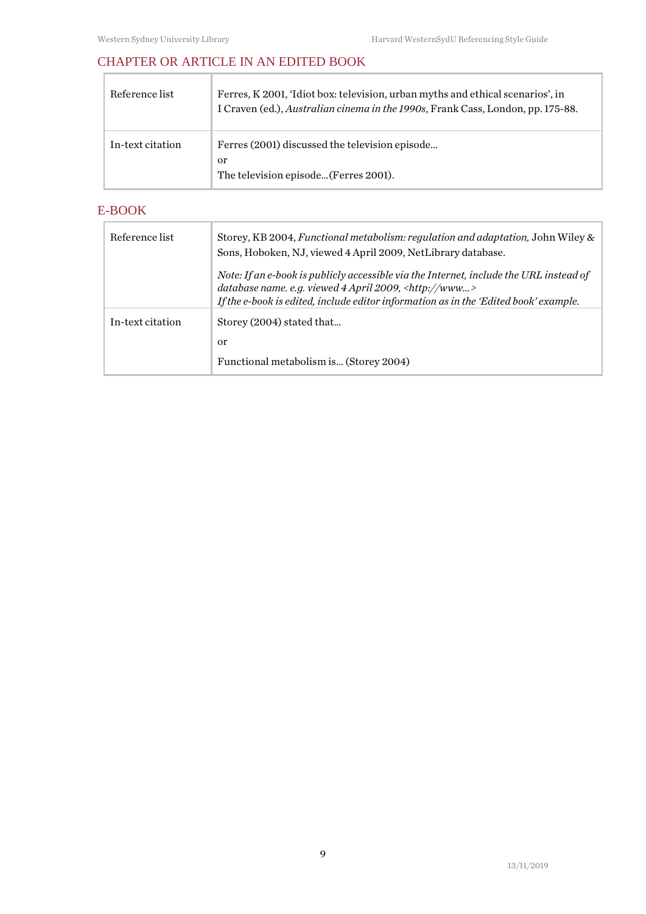# <span id="page-8-0"></span>CHAPTER OR ARTICLE IN AN EDITED BOOK

| Reference list   | Ferres, K 2001, 'Idiot box: television, urban myths and ethical scenarios', in<br>I Craven (ed.), Australian cinema in the 1990s, Frank Cass, London, pp. 175-88. |
|------------------|-------------------------------------------------------------------------------------------------------------------------------------------------------------------|
| In-text citation | Ferres (2001) discussed the television episode<br>0r<br>The television episode (Ferres 2001).                                                                     |

# <span id="page-8-1"></span>E-BOOK

J.

| Reference list   | Storey, KB 2004, Functional metabolism: regulation and adaptation, John Wiley &<br>Sons, Hoboken, NJ, viewed 4 April 2009, NetLibrary database.                                                                                                      |
|------------------|------------------------------------------------------------------------------------------------------------------------------------------------------------------------------------------------------------------------------------------------------|
|                  | Note: If an e-book is publicly accessible via the Internet, include the URL instead of<br>database name. e.g. viewed $4$ April 2009, <http: www=""><br/>If the e-book is edited, include editor information as in the 'Edited book' example.</http:> |
| In-text citation | Storey (2004) stated that<br><sub>or</sub><br>Functional metabolism is (Storey 2004)                                                                                                                                                                 |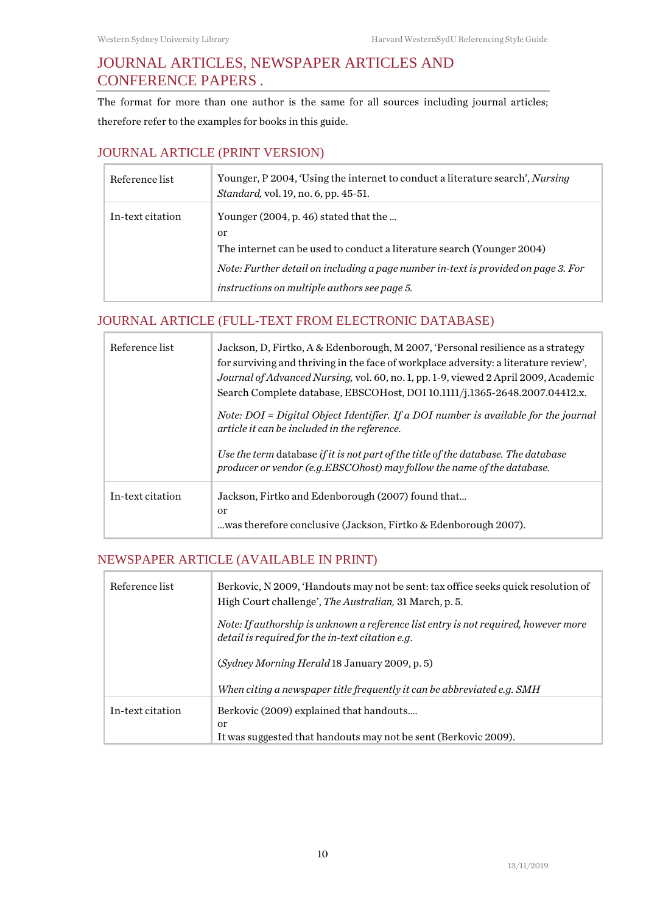# <span id="page-9-0"></span>JOURNAL ARTICLES, NEWSPAPER ARTICLES AND CONFERENCE PAPERS **.**

The format for more than one author is the same for all sources including journal articles; therefore refer to the examples for books in this guide.

#### <span id="page-9-1"></span>JOURNAL ARTICLE (PRINT VERSION)

| Reference list   | Younger, P 2004, 'Using the internet to conduct a literature search', Nursing<br><i>Standard, vol. 19, no. 6, pp. 45-51.</i> |
|------------------|------------------------------------------------------------------------------------------------------------------------------|
| In-text citation | Younger $(2004, p. 46)$ stated that the                                                                                      |
|                  | <sub>or</sub>                                                                                                                |
|                  | The internet can be used to conduct a literature search (Younger 2004)                                                       |
|                  | Note: Further detail on including a page number in-text is provided on page 3. For                                           |
|                  | instructions on multiple authors see page 5.                                                                                 |

# <span id="page-9-2"></span>JOURNAL ARTICLE (FULL-TEXT FROM ELECTRONIC DATABASE)

| Reference list   | Jackson, D, Firtko, A & Edenborough, M 2007, 'Personal resilience as a strategy<br>for surviving and thriving in the face of workplace adversity: a literature review',<br>Journal of Advanced Nursing, vol. 60, no. 1, pp. 1-9, viewed 2 April 2009, Academic<br>Search Complete database, EBSCOHost, DOI 10.1111/j.1365-2648.2007.04412.x. |
|------------------|----------------------------------------------------------------------------------------------------------------------------------------------------------------------------------------------------------------------------------------------------------------------------------------------------------------------------------------------|
|                  | Note: DOI = Digital Object Identifier. If a DOI number is available for the journal<br>article it can be included in the reference.                                                                                                                                                                                                          |
|                  | Use the term database if it is not part of the title of the database. The database<br>producer or vendor (e.g. EBSCOhost) may follow the name of the database.                                                                                                                                                                               |
| In-text citation | Jackson, Firtko and Edenborough (2007) found that<br>or<br>was therefore conclusive (Jackson, Firtko & Edenborough 2007).                                                                                                                                                                                                                    |

# <span id="page-9-3"></span>NEWSPAPER ARTICLE (AVAILABLE IN PRINT)

| Reference list   | Berkovic, N 2009, 'Handouts may not be sent: tax office seeks quick resolution of<br>High Court challenge', <i>The Australian</i> , 31 March, p. 5. |
|------------------|-----------------------------------------------------------------------------------------------------------------------------------------------------|
|                  | Note: If authorship is unknown a reference list entry is not required, however more<br>detail is required for the in-text citation e.g.             |
|                  | (Sydney Morning Herald 18 January 2009, p. 5)                                                                                                       |
|                  | When citing a newspaper title frequently it can be abbreviated e.g. SMH                                                                             |
| In-text citation | Berkovic (2009) explained that handouts<br><sub>or</sub><br>It was suggested that handouts may not be sent (Berkovic 2009).                         |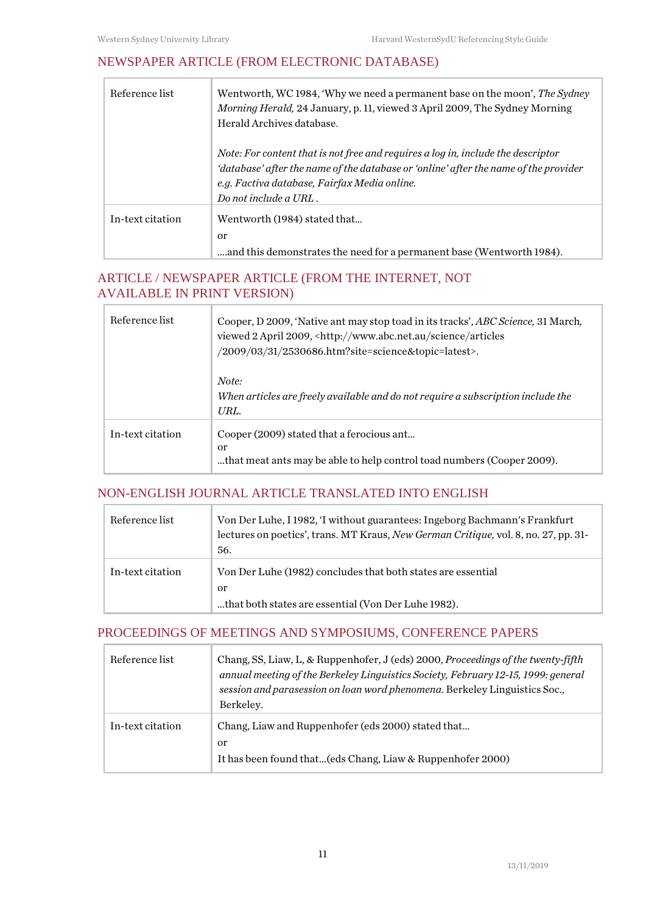# <span id="page-10-0"></span>NEWSPAPER ARTICLE (FROM ELECTRONIC DATABASE)

| Reference list   | Wentworth, WC 1984, 'Why we need a permanent base on the moon', The Sydney<br>Morning Herald, 24 January, p. 11, viewed 3 April 2009, The Sydney Morning<br>Herald Archives database.                                                             |
|------------------|---------------------------------------------------------------------------------------------------------------------------------------------------------------------------------------------------------------------------------------------------|
|                  | Note: For content that is not free and requires a log in, include the descriptor<br>'database' after the name of the database or 'online' after the name of the provider<br>e.g. Factiva database, Fairfax Media online.<br>Do not include a URL. |
| In-text citation | Wentworth (1984) stated that<br><sub>or</sub><br>and this demonstrates the need for a permanent base (Wentworth 1984).                                                                                                                            |

# <span id="page-10-1"></span>ARTICLE / NEWSPAPER ARTICLE (FROM THE INTERNET, NOT AVAILABLE IN PRINT VERSION)

| Reference list   | Cooper, D 2009, 'Native ant may stop toad in its tracks', ABC Science, 31 March,<br>viewed 2 April 2009, <http: articles<br="" science="" www.abc.net.au="">/2009/03/31/2530686.htm?site=science&amp;topic=latest&gt;.</http:> |
|------------------|--------------------------------------------------------------------------------------------------------------------------------------------------------------------------------------------------------------------------------|
|                  | Note:<br>When articles are freely available and do not require a subscription include the<br>URL.                                                                                                                              |
| In-text citation | Cooper (2009) stated that a ferocious ant<br>or<br>that meat ants may be able to help control toad numbers (Cooper 2009).                                                                                                      |

# <span id="page-10-2"></span>NON-ENGLISH JOURNAL ARTICLE TRANSLATED INTO ENGLISH

| Reference list   | Von Der Luhe, I 1982, T without guarantees: Ingeborg Bachmann's Frankfurt<br>lectures on poetics', trans. MT Kraus, New German Critique, vol. 8, no. 27, pp. 31-<br>56. |
|------------------|-------------------------------------------------------------------------------------------------------------------------------------------------------------------------|
| In-text citation | Von Der Luhe (1982) concludes that both states are essential                                                                                                            |
|                  | or<br>that both states are essential (Von Der Luhe 1982).                                                                                                               |

#### <span id="page-10-3"></span>PROCEEDINGS OF MEETINGS AND SYMPOSIUMS, CONFERENCE PAPERS

| Reference list   | Chang, SS, Liaw, L, & Ruppenhofer, J (eds) 2000, Proceedings of the twenty-fifth<br>annual meeting of the Berkeley Linguistics Society, February 12-15, 1999: general<br>session and parasession on loan word phenomena. Berkeley Linguistics Soc.,<br>Berkeley. |
|------------------|------------------------------------------------------------------------------------------------------------------------------------------------------------------------------------------------------------------------------------------------------------------|
| In-text citation | Chang, Liaw and Ruppenhofer (eds 2000) stated that<br><sub>or</sub><br>It has been found that(eds Chang, Liaw & Ruppenhofer 2000)                                                                                                                                |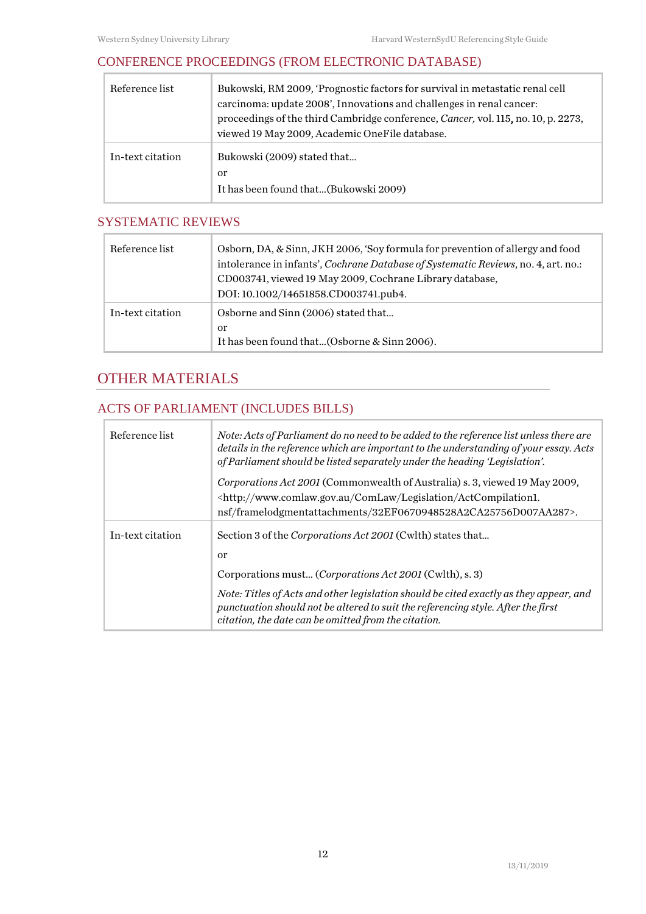$\overline{\phantom{a}}$ 

# <span id="page-11-0"></span>CONFERENCE PROCEEDINGS (FROM ELECTRONIC DATABASE)

| Reference list   | Bukowski, RM 2009, 'Prognostic factors for survival in metastatic renal cell<br>carcinoma: update 2008', Innovations and challenges in renal cancer:<br>proceedings of the third Cambridge conference, Cancer, vol. 115, no. 10, p. 2273,<br>viewed 19 May 2009, Academic OneFile database. |
|------------------|---------------------------------------------------------------------------------------------------------------------------------------------------------------------------------------------------------------------------------------------------------------------------------------------|
| In-text citation | Bukowski (2009) stated that<br>or<br>It has been found that(Bukowski 2009)                                                                                                                                                                                                                  |

# <span id="page-11-1"></span>SYSTEMATIC REVIEWS

| Reference list   | Osborn, DA, & Sinn, JKH 2006, 'Soy formula for prevention of allergy and food<br>intolerance in infants', Cochrane Database of Systematic Reviews, no. 4, art. no.:<br>CD003741, viewed 19 May 2009, Cochrane Library database,<br>DOI: 10.1002/14651858.CD003741.pub4. |
|------------------|-------------------------------------------------------------------------------------------------------------------------------------------------------------------------------------------------------------------------------------------------------------------------|
| In-text citation | Osborne and Sinn (2006) stated that<br>or<br>It has been found that(Osborne & Sinn 2006).                                                                                                                                                                               |

# <span id="page-11-2"></span>OTHER MATERIALS

# <span id="page-11-3"></span>ACTS OF PARLIAMENT (INCLUDES BILLS)

| Reference list   | Note: Acts of Parliament do no need to be added to the reference list unless there are<br>details in the reference which are important to the understanding of your essay. Acts<br>of Parliament should be listed separately under the heading 'Legislation'. |
|------------------|---------------------------------------------------------------------------------------------------------------------------------------------------------------------------------------------------------------------------------------------------------------|
|                  | Corporations Act 2001 (Commonwealth of Australia) s. 3, viewed 19 May 2009,<br><http: actcompilation1.<br="" comlaw="" legislation="" www.comlaw.gov.au="">nsf/framelodgmentattachments/32EF0670948528A2CA25756D007AA287&gt;.</http:>                         |
| In-text citation | Section 3 of the Corporations Act 2001 (Cwlth) states that<br><sub>or</sub><br>Corporations must (Corporations Act 2001 (Cwlth), s. 3)                                                                                                                        |
|                  | Note: Titles of Acts and other legislation should be cited exactly as they appear, and<br>punctuation should not be altered to suit the referencing style. After the first<br>citation, the date can be omitted from the citation.                            |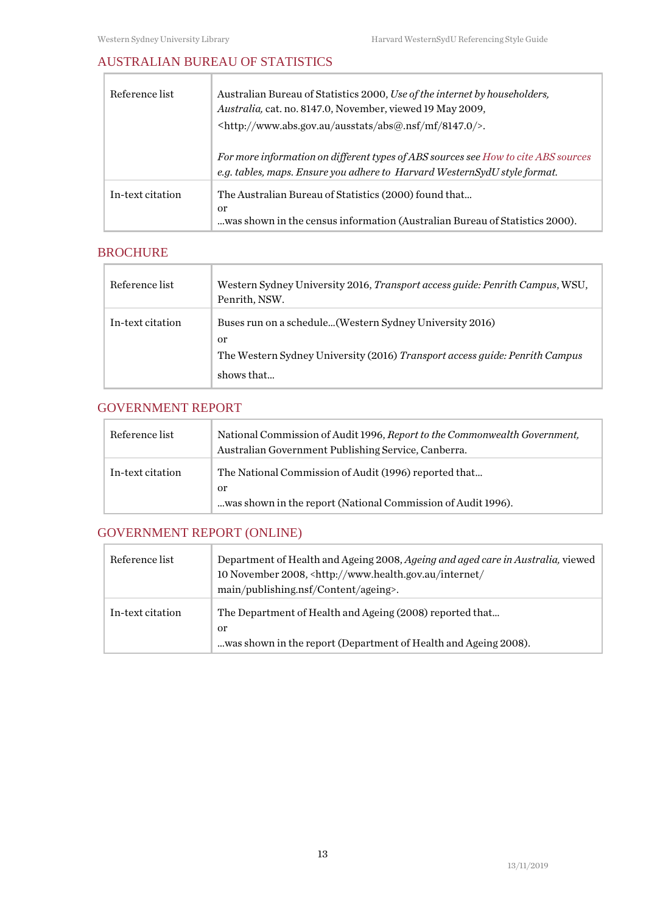# <span id="page-12-0"></span>AUSTRALIAN BUREAU OF STATISTICS

| Reference list   | Australian Bureau of Statistics 2000, Use of the internet by householders,<br>Australia, cat. no. 8147.0, November, viewed 19 May 2009,<br><http: 8147.0="" abs@.nsf="" ausstats="" mf="" www.abs.gov.au=""></http:> . |
|------------------|------------------------------------------------------------------------------------------------------------------------------------------------------------------------------------------------------------------------|
|                  | For more information on different types of ABS sources see How to cite ABS sources<br>e.g. tables, maps. Ensure you adhere to Harvard WesternSydU style format.                                                        |
| In-text citation | The Australian Bureau of Statistics (2000) found that<br>or<br>was shown in the census information (Australian Bureau of Statistics 2000).                                                                             |

#### <span id="page-12-1"></span>BROCHURE

 $\overline{\Gamma}$ 

| Reference list   | Western Sydney University 2016, Transport access guide: Penrith Campus, WSU,<br>Penrith, NSW.                                                               |
|------------------|-------------------------------------------------------------------------------------------------------------------------------------------------------------|
| In-text citation | Buses run on a schedule (Western Sydney University 2016)<br>or<br>The Western Sydney University (2016) Transport access guide: Penrith Campus<br>shows that |

#### <span id="page-12-2"></span>GOVERNMENT REPORT

| Reference list   | National Commission of Audit 1996, Report to the Commonwealth Government,<br>Australian Government Publishing Service, Canberra. |
|------------------|----------------------------------------------------------------------------------------------------------------------------------|
| In-text citation | The National Commission of Audit (1996) reported that<br>or<br>was shown in the report (National Commission of Audit 1996).      |

# <span id="page-12-3"></span>GOVERNMENT REPORT (ONLINE)

| Reference list   | Department of Health and Ageing 2008, Ageing and aged care in Australia, viewed<br>10 November 2008, <http: <br="" internet="" www.health.gov.au="">main/publishing.nsf/Content/ageing&gt;.</http:> |
|------------------|-----------------------------------------------------------------------------------------------------------------------------------------------------------------------------------------------------|
| In-text citation | The Department of Health and Ageing (2008) reported that<br>or<br>was shown in the report (Department of Health and Ageing 2008).                                                                   |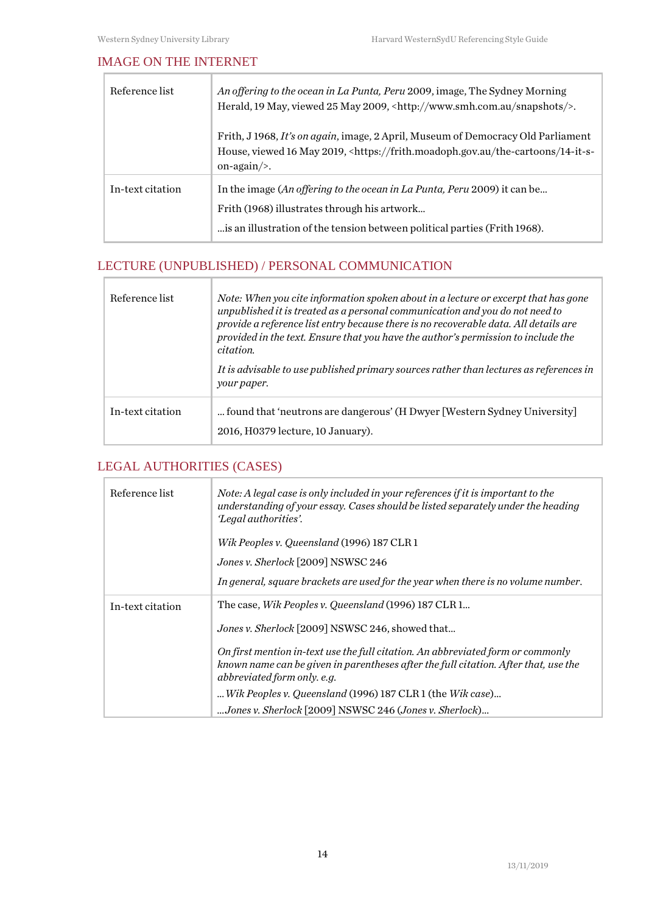$\overline{\Gamma}$ 

#### <span id="page-13-0"></span>IMAGE ON THE INTERNET

| Reference list   | An offering to the ocean in La Punta, Peru 2009, image, The Sydney Morning<br>Herald, 19 May, viewed 25 May 2009, <http: snapshots="" www.smh.com.au=""></http:> .                                                 |
|------------------|--------------------------------------------------------------------------------------------------------------------------------------------------------------------------------------------------------------------|
|                  | Frith, J 1968, It's on again, image, 2 April, Museum of Democracy Old Parliament<br>House, viewed 16 May 2019, <https: 14-it-s-<br="" frith.moadoph.gov.au="" the-cartoons="">on-again/<math>&gt;</math>.</https:> |
| In-text citation | In the image (An offering to the ocean in La Punta, Peru 2009) it can be<br>Frith (1968) illustrates through his artwork<br>is an illustration of the tension between political parties (Frith 1968).              |

# <span id="page-13-1"></span>LECTURE (UNPUBLISHED) / PERSONAL COMMUNICATION

| Reference list   | Note: When you cite information spoken about in a lecture or excerpt that has gone<br>unpublished it is treated as a personal communication and you do not need to<br>provide a reference list entry because there is no recoverable data. All details are<br>provided in the text. Ensure that you have the author's permission to include the<br>citation. |
|------------------|--------------------------------------------------------------------------------------------------------------------------------------------------------------------------------------------------------------------------------------------------------------------------------------------------------------------------------------------------------------|
|                  | It is advisable to use published primary sources rather than lectures as references in<br>your paper.                                                                                                                                                                                                                                                        |
| In-text citation | found that 'neutrons are dangerous' (H Dwyer [Western Sydney University]<br>2016, H0379 lecture, 10 January).                                                                                                                                                                                                                                                |

# <span id="page-13-2"></span>LEGAL AUTHORITIES (CASES)

T

| Reference list   | Note: A legal case is only included in your references if it is important to the<br>understanding of your essay. Cases should be listed separately under the heading<br>'Legal authorities'.<br>Wik Peoples v. Queensland (1996) 187 CLR 1 |
|------------------|--------------------------------------------------------------------------------------------------------------------------------------------------------------------------------------------------------------------------------------------|
|                  | Jones v. Sherlock [2009] NSWSC 246                                                                                                                                                                                                         |
|                  | In general, square brackets are used for the year when there is no volume number.                                                                                                                                                          |
| In-text citation | The case, Wik Peoples v. Queensland (1996) 187 CLR 1                                                                                                                                                                                       |
|                  | Jones v. Sherlock [2009] NSWSC 246, showed that                                                                                                                                                                                            |
|                  | On first mention in-text use the full citation. An abbreviated form or commonly<br>known name can be given in parentheses after the full citation. After that, use the<br>abbreviated form only. e.g.                                      |
|                  | Wik Peoples v. Queensland (1996) 187 CLR 1 (the Wik case)                                                                                                                                                                                  |
|                  | Jones v. Sherlock [2009] NSWSC 246 (Jones v. Sherlock)                                                                                                                                                                                     |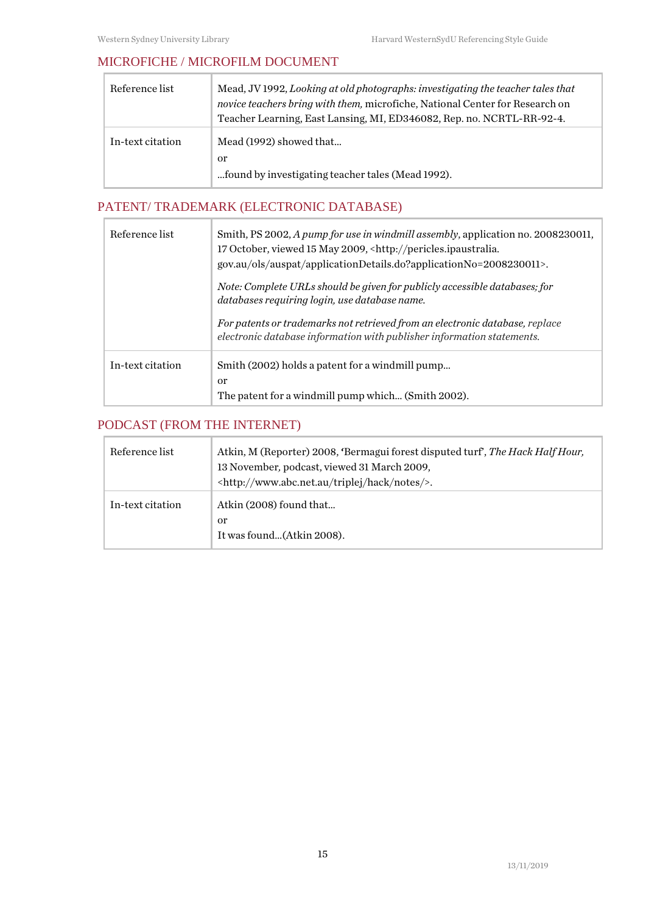### <span id="page-14-0"></span>MICROFICHE / MICROFILM DOCUMENT

| Reference list   | Mead, JV 1992, Looking at old photographs: investigating the teacher tales that<br>novice teachers bring with them, microfiche, National Center for Research on<br>Teacher Learning, East Lansing, MI, ED346082, Rep. no. NCRTL-RR-92-4. |
|------------------|------------------------------------------------------------------------------------------------------------------------------------------------------------------------------------------------------------------------------------------|
| In-text citation | Mead (1992) showed that<br>or<br>found by investigating teacher tales (Mead 1992).                                                                                                                                                       |

# <span id="page-14-1"></span>PATENT/ TRADEMARK (ELECTRONIC DATABASE)

| Reference list   | Smith, PS 2002, A pump for use in windmill assembly, application no. 2008230011,<br>17 October, viewed 15 May 2009, <http: pericles.ipaustralia.<br="">gov.au/ols/auspat/applicationDetails.do?applicationNo=2008230011&gt;.</http:> |
|------------------|--------------------------------------------------------------------------------------------------------------------------------------------------------------------------------------------------------------------------------------|
|                  | Note: Complete URLs should be given for publicly accessible databases; for<br>databases requiring login, use database name.                                                                                                          |
|                  | For patents or trademarks not retrieved from an electronic database, replace<br>electronic database information with publisher information statements.                                                                               |
| In-text citation | Smith (2002) holds a patent for a windmill pump<br><sub>or</sub><br>The patent for a windmill pump which (Smith 2002).                                                                                                               |

# <span id="page-14-2"></span>PODCAST (FROM THE INTERNET)

| Reference list   | Atkin, M (Reporter) 2008, 'Bermagui forest disputed turf', The Hack Half Hour,<br>13 November, podcast, viewed 31 March 2009,<br><http: hack="" notes="" triplej="" www.abc.net.au=""></http:> . |
|------------------|--------------------------------------------------------------------------------------------------------------------------------------------------------------------------------------------------|
| In-text citation | Atkin (2008) found that<br>or<br>It was found(Atkin 2008).                                                                                                                                       |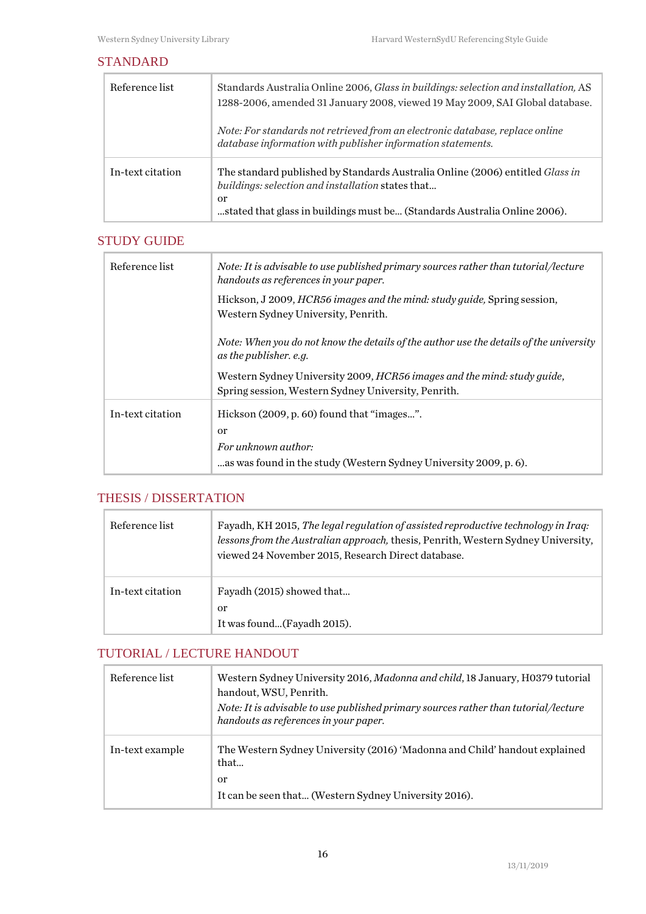#### <span id="page-15-0"></span>STANDARD

| Reference list   | Standards Australia Online 2006, Glass in buildings: selection and installation, AS<br>1288-2006, amended 31 January 2008, viewed 19 May 2009, SAI Global database.                                                   |
|------------------|-----------------------------------------------------------------------------------------------------------------------------------------------------------------------------------------------------------------------|
|                  | Note: For standards not retrieved from an electronic database, replace online<br>database information with publisher information statements.                                                                          |
| In-text citation | The standard published by Standards Australia Online (2006) entitled Glass in<br>buildings: selection and installation states that<br>or<br>stated that glass in buildings must be (Standards Australia Online 2006). |

### <span id="page-15-1"></span>STUDY GUIDE

| Reference list   | Note: It is advisable to use published primary sources rather than tutorial/lecture<br>handouts as references in your paper.                            |
|------------------|---------------------------------------------------------------------------------------------------------------------------------------------------------|
|                  | Hickson, J 2009, HCR56 images and the mind: study guide, Spring session,<br>Western Sydney University, Penrith.                                         |
|                  | Note: When you do not know the details of the author use the details of the university<br>as the publisher. e.g.                                        |
|                  | Western Sydney University 2009, HCR56 images and the mind: study guide,<br>Spring session, Western Sydney University, Penrith.                          |
| In-text citation | Hickson (2009, p. 60) found that "images".<br><sub>or</sub><br>For unknown author:<br>as was found in the study (Western Sydney University 2009, p. 6). |

# <span id="page-15-2"></span>THESIS / DISSERTATION

| Reference list   | Fayadh, KH 2015, The legal regulation of assisted reproductive technology in Iraq:<br>lessons from the Australian approach, thesis, Penrith, Western Sydney University,<br>viewed 24 November 2015, Research Direct database. |
|------------------|-------------------------------------------------------------------------------------------------------------------------------------------------------------------------------------------------------------------------------|
| In-text citation | Fayadh (2015) showed that<br>or<br>It was found(Fayadh 2015).                                                                                                                                                                 |

## <span id="page-15-3"></span>TUTORIAL / LECTURE HANDOUT

| Reference list  | Western Sydney University 2016, Madonna and child, 18 January, H0379 tutorial<br>handout, WSU, Penrith.<br>Note: It is advisable to use published primary sources rather than tutorial/lecture<br>handouts as references in your paper. |
|-----------------|-----------------------------------------------------------------------------------------------------------------------------------------------------------------------------------------------------------------------------------------|
| In-text example | The Western Sydney University (2016) 'Madonna and Child' handout explained<br>that<br>or<br>It can be seen that (Western Sydney University 2016).                                                                                       |